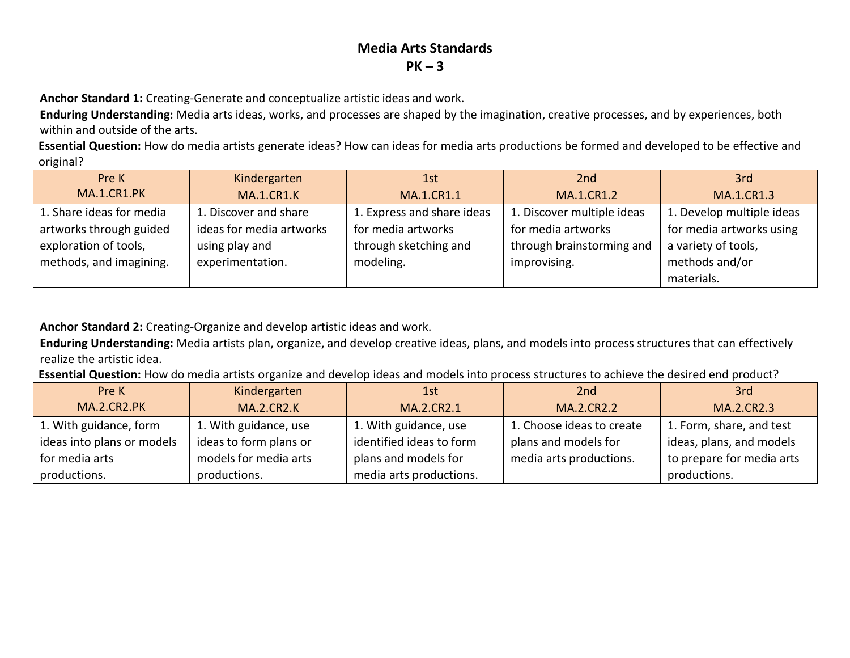**Anchor Standard 1:** Creating-Generate and conceptualize artistic ideas and work.

**Enduring Understanding:** Media arts ideas, works, and processes are shaped by the imagination, creative processes, and by experiences, both within and outside of the arts.

**Essential Question:** How do media artists generate ideas? How can ideas for media arts productions be formed and developed to be effective and original?

| Pre K                    | Kindergarten             | 1st.                       | 2 <sub>nd</sub>            | 3rd                       |
|--------------------------|--------------------------|----------------------------|----------------------------|---------------------------|
| MA.1.CR1.PK              | <b>MA.1.CR1.K</b>        | MA.1.CR1.1                 | <b>MA.1.CR1.2</b>          | <b>MA.1.CR1.3</b>         |
| 1. Share ideas for media | 1. Discover and share    | 1. Express and share ideas | 1. Discover multiple ideas | 1. Develop multiple ideas |
| artworks through guided  | ideas for media artworks | for media artworks         | for media artworks         | for media artworks using  |
| exploration of tools,    | using play and           | through sketching and      | through brainstorming and  | a variety of tools,       |
| methods, and imagining.  | experimentation.         | modeling.                  | improvising.               | methods and/or            |
|                          |                          |                            |                            | materials.                |

**Anchor Standard 2:** Creating-Organize and develop artistic ideas and work.

**Enduring Understanding:** Media artists plan, organize, and develop creative ideas, plans, and models into process structures that can effectively realize the artistic idea.

**Essential Question:** How do media artists organize and develop ideas and models into process structures to achieve the desired end product?

| Pre K                      | Kindergarten           | 1st                      | 2nd                       | 3rd                       |
|----------------------------|------------------------|--------------------------|---------------------------|---------------------------|
| MA.2.CR2.PK                | <b>MA.2.CR2.K</b>      | MA.2.CR2.1               | MA.2.CR2.2                | MA.2.CR2.3                |
| 1. With guidance, form     | 1. With guidance, use  | 1. With guidance, use    | 1. Choose ideas to create | 1. Form, share, and test  |
| ideas into plans or models | ideas to form plans or | identified ideas to form | plans and models for      | ideas, plans, and models  |
| for media arts             | models for media arts  | plans and models for     | media arts productions.   | to prepare for media arts |
| productions.               | productions.           | media arts productions.  |                           | productions.              |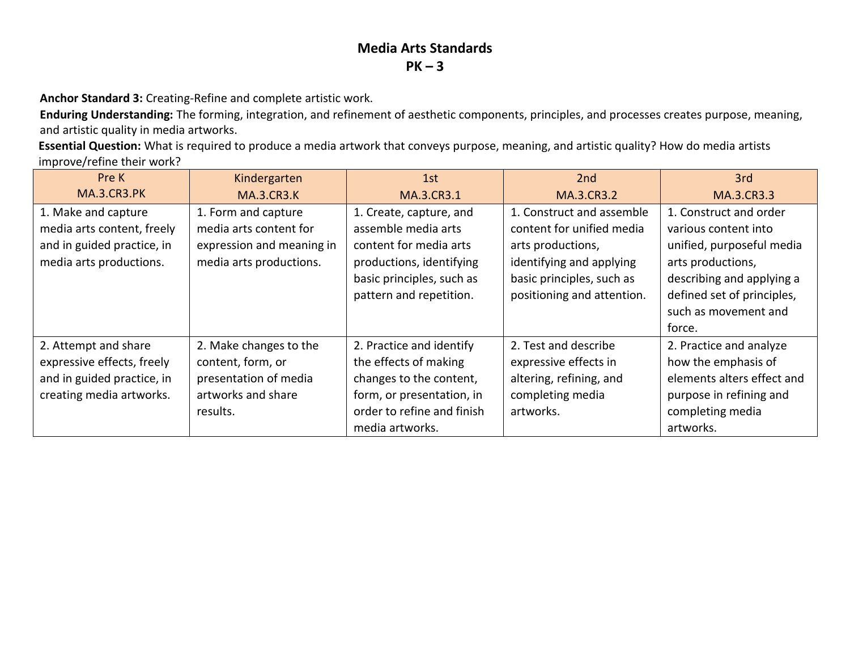**Anchor Standard 3:** Creating-Refine and complete artistic work.

**Enduring Understanding:** The forming, integration, and refinement of aesthetic components, principles, and processes creates purpose, meaning, and artistic quality in media artworks.

**Essential Question:** What is required to produce a media artwork that conveys purpose, meaning, and artistic quality? How do media artists improve/refine their work?

| Pre K                      | Kindergarten              | 1st                        | 2 <sub>nd</sub>            | 3rd                        |
|----------------------------|---------------------------|----------------------------|----------------------------|----------------------------|
| <b>MA.3.CR3.PK</b>         | <b>MA.3.CR3.K</b>         | MA.3.CR3.1                 | MA.3.CR3.2                 | MA.3.CR3.3                 |
| 1. Make and capture        | 1. Form and capture       | 1. Create, capture, and    | 1. Construct and assemble  | 1. Construct and order     |
| media arts content, freely | media arts content for    | assemble media arts        | content for unified media  | various content into       |
| and in guided practice, in | expression and meaning in | content for media arts     | arts productions,          | unified, purposeful media  |
| media arts productions.    | media arts productions.   | productions, identifying   | identifying and applying   | arts productions,          |
|                            |                           | basic principles, such as  | basic principles, such as  | describing and applying a  |
|                            |                           | pattern and repetition.    | positioning and attention. | defined set of principles, |
|                            |                           |                            |                            | such as movement and       |
|                            |                           |                            |                            | force.                     |
| 2. Attempt and share       | 2. Make changes to the    | 2. Practice and identify   | 2. Test and describe       | 2. Practice and analyze    |
| expressive effects, freely | content, form, or         | the effects of making      | expressive effects in      | how the emphasis of        |
| and in guided practice, in | presentation of media     | changes to the content,    | altering, refining, and    | elements alters effect and |
| creating media artworks.   | artworks and share        | form, or presentation, in  | completing media           | purpose in refining and    |
|                            | results.                  | order to refine and finish | artworks.                  | completing media           |
|                            |                           | media artworks.            |                            | artworks.                  |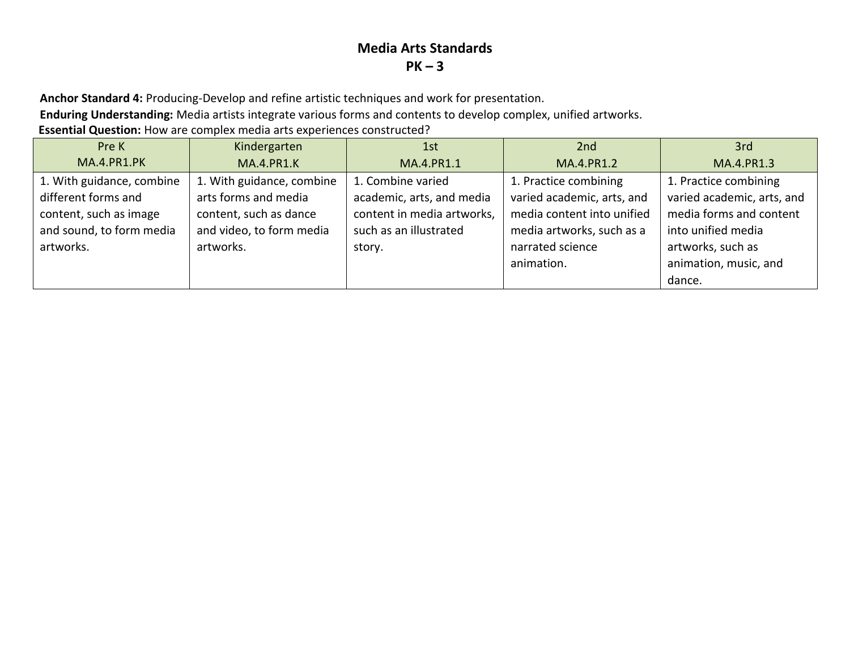**Anchor Standard 4:** Producing-Develop and refine artistic techniques and work for presentation.

**Enduring Understanding:** Media artists integrate various forms and contents to develop complex, unified artworks.

**Essential Question:** How are complex media arts experiences constructed?

| Pre K                     | Kindergarten              | 1st                        | 2 <sub>nd</sub>            | 3rd                        |
|---------------------------|---------------------------|----------------------------|----------------------------|----------------------------|
| MA.4.PR1.PK               | <b>MA.4.PR1.K</b>         | MA.4.PR1.1                 | MA.4.PR1.2                 | MA.4.PR1.3                 |
| 1. With guidance, combine | 1. With guidance, combine | 1. Combine varied          | 1. Practice combining      | 1. Practice combining      |
| different forms and       | arts forms and media      | academic, arts, and media  | varied academic, arts, and | varied academic, arts, and |
| content, such as image    | content, such as dance    | content in media artworks, | media content into unified | media forms and content    |
| and sound, to form media  | and video, to form media  | such as an illustrated     | media artworks, such as a  | into unified media         |
| artworks.                 | artworks.                 | story.                     | narrated science           | artworks, such as          |
|                           |                           |                            | animation.                 | animation, music, and      |
|                           |                           |                            |                            | dance.                     |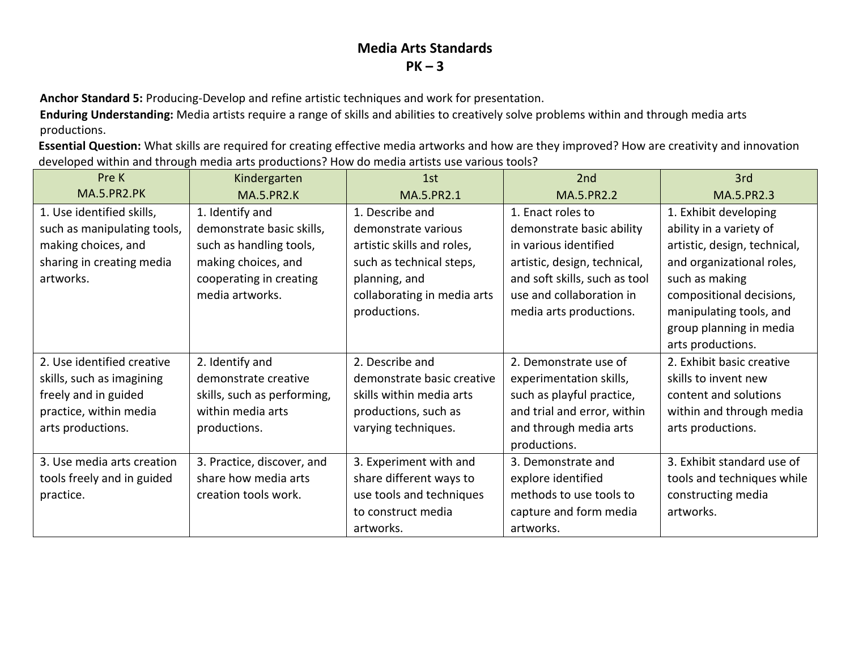**Anchor Standard 5:** Producing-Develop and refine artistic techniques and work for presentation.

**Enduring Understanding:** Media artists require a range of skills and abilities to creatively solve problems within and through media arts productions.

**Essential Question:** What skills are required for creating effective media artworks and how are they improved? How are creativity and innovation developed within and through media arts productions? How do media artists use various tools?

| Pre K                       | Kindergarten                | 1st                         | 2 <sub>nd</sub>               | 3rd                          |
|-----------------------------|-----------------------------|-----------------------------|-------------------------------|------------------------------|
| <b>MA.5.PR2.PK</b>          | <b>MA.5.PR2.K</b>           | MA.5.PR2.1                  | MA.5.PR2.2                    | MA.5.PR2.3                   |
| 1. Use identified skills,   | 1. Identify and             | 1. Describe and             | 1. Enact roles to             | 1. Exhibit developing        |
| such as manipulating tools, | demonstrate basic skills,   | demonstrate various         | demonstrate basic ability     | ability in a variety of      |
| making choices, and         | such as handling tools,     | artistic skills and roles,  | in various identified         | artistic, design, technical, |
| sharing in creating media   | making choices, and         | such as technical steps,    | artistic, design, technical,  | and organizational roles,    |
| artworks.                   | cooperating in creating     | planning, and               | and soft skills, such as tool | such as making               |
|                             | media artworks.             | collaborating in media arts | use and collaboration in      | compositional decisions,     |
|                             |                             | productions.                | media arts productions.       | manipulating tools, and      |
|                             |                             |                             |                               | group planning in media      |
|                             |                             |                             |                               | arts productions.            |
| 2. Use identified creative  | 2. Identify and             | 2. Describe and             | 2. Demonstrate use of         | 2. Exhibit basic creative    |
| skills, such as imagining   | demonstrate creative        | demonstrate basic creative  | experimentation skills,       | skills to invent new         |
| freely and in guided        | skills, such as performing, | skills within media arts    | such as playful practice,     | content and solutions        |
| practice, within media      | within media arts           | productions, such as        | and trial and error, within   | within and through media     |
| arts productions.           | productions.                | varying techniques.         | and through media arts        | arts productions.            |
|                             |                             |                             | productions.                  |                              |
| 3. Use media arts creation  | 3. Practice, discover, and  | 3. Experiment with and      | 3. Demonstrate and            | 3. Exhibit standard use of   |
| tools freely and in guided  | share how media arts        | share different ways to     | explore identified            | tools and techniques while   |
| practice.                   | creation tools work.        | use tools and techniques    | methods to use tools to       | constructing media           |
|                             |                             | to construct media          | capture and form media        | artworks.                    |
|                             |                             | artworks.                   | artworks.                     |                              |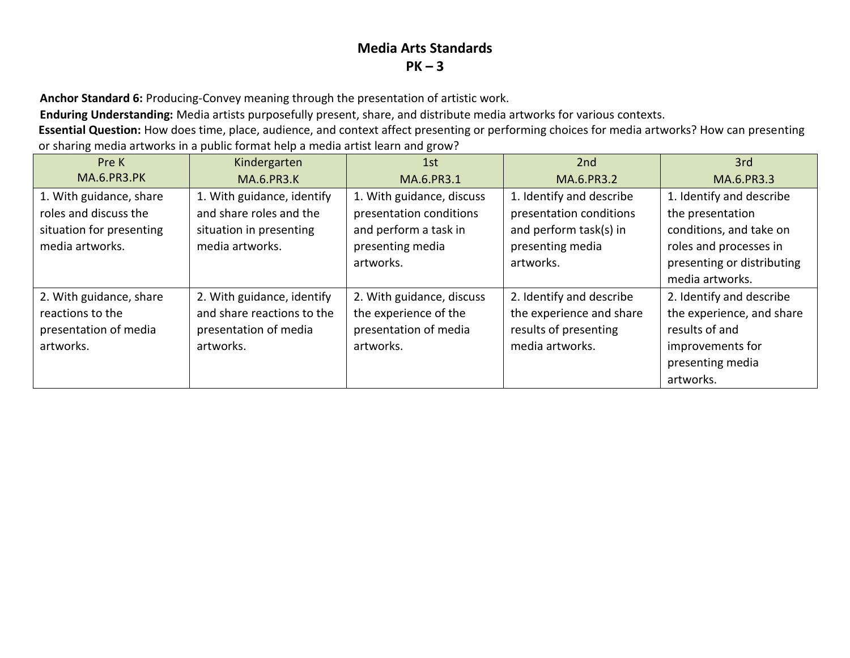**Anchor Standard 6:** Producing-Convey meaning through the presentation of artistic work.

**Enduring Understanding:** Media artists purposefully present, share, and distribute media artworks for various contexts.

**Essential Question:** How does time, place, audience, and context affect presenting or performing choices for media artworks? How can presenting or sharing media artworks in a public format help a media artist learn and grow?

| Pre K                                                                                           | Kindergarten                                                                                        | 1st                                                                                                            | 2nd                                                                                                            | 3rd                                                                                                                                                |
|-------------------------------------------------------------------------------------------------|-----------------------------------------------------------------------------------------------------|----------------------------------------------------------------------------------------------------------------|----------------------------------------------------------------------------------------------------------------|----------------------------------------------------------------------------------------------------------------------------------------------------|
| <b>MA.6.PR3.PK</b>                                                                              | <b>MA.6.PR3.K</b>                                                                                   | MA.6.PR3.1                                                                                                     | MA.6.PR3.2                                                                                                     | MA.6.PR3.3                                                                                                                                         |
| 1. With guidance, share<br>roles and discuss the<br>situation for presenting<br>media artworks. | 1. With guidance, identify<br>and share roles and the<br>situation in presenting<br>media artworks. | 1. With guidance, discuss<br>presentation conditions<br>and perform a task in<br>presenting media<br>artworks. | 1. Identify and describe<br>presentation conditions<br>and perform task(s) in<br>presenting media<br>artworks. | 1. Identify and describe<br>the presentation<br>conditions, and take on<br>roles and processes in<br>presenting or distributing<br>media artworks. |
| 2. With guidance, share<br>reactions to the<br>presentation of media<br>artworks.               | 2. With guidance, identify<br>and share reactions to the<br>presentation of media<br>artworks.      | 2. With guidance, discuss<br>the experience of the<br>presentation of media<br>artworks.                       | 2. Identify and describe<br>the experience and share<br>results of presenting<br>media artworks.               | 2. Identify and describe<br>the experience, and share<br>results of and<br>improvements for<br>presenting media<br>artworks.                       |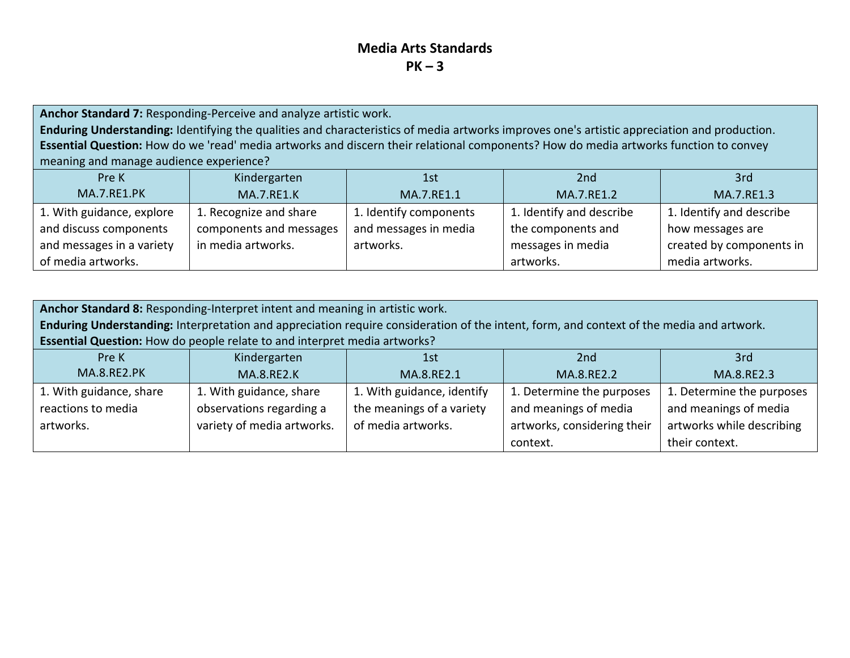**Anchor Standard 7:** Responding-Perceive and analyze artistic work. **Enduring Understanding:** Identifying the qualities and characteristics of media artworks improves one's artistic appreciation and production. **Essential Question:** How do we 'read' media artworks and discern their relational components? How do media artworks function to convey meaning and manage audience experience?

| Pre K                     | Kindergarten            | 1st                    | 2nd                      | 3rd                      |
|---------------------------|-------------------------|------------------------|--------------------------|--------------------------|
| <b>MA.7.RE1.PK</b>        | <b>MA.7.RE1.K</b>       | MA.7.RE1.1             | MA.7.RE1.2               | MA.7.RE1.3               |
| 1. With guidance, explore | 1. Recognize and share  | 1. Identify components | 1. Identify and describe | 1. Identify and describe |
| and discuss components    | components and messages | and messages in media  | the components and       | how messages are         |
| and messages in a variety | in media artworks.      | artworks.              | messages in media        | created by components in |
| of media artworks.        |                         |                        | artworks.                | media artworks.          |

| Anchor Standard 8: Responding-Interpret intent and meaning in artistic work. |                                                                                                                                          |                            |                             |                           |  |
|------------------------------------------------------------------------------|------------------------------------------------------------------------------------------------------------------------------------------|----------------------------|-----------------------------|---------------------------|--|
|                                                                              | Enduring Understanding: Interpretation and appreciation require consideration of the intent, form, and context of the media and artwork. |                            |                             |                           |  |
|                                                                              | Essential Question: How do people relate to and interpret media artworks?                                                                |                            |                             |                           |  |
| Pre K                                                                        | Kindergarten                                                                                                                             | 1st                        | 2 <sub>nd</sub>             | 3rd                       |  |
| <b>MA.8.RE2.PK</b>                                                           | <b>MA.8.RE2.K</b>                                                                                                                        | MA.8.RE2.1                 | MA.8.RE2.2                  | MA.8.RE2.3                |  |
| 1. With guidance, share                                                      | 1. With guidance, share                                                                                                                  | 1. With guidance, identify | 1. Determine the purposes   | 1. Determine the purposes |  |
| reactions to media                                                           | observations regarding a                                                                                                                 | the meanings of a variety  | and meanings of media       | and meanings of media     |  |
| artworks.                                                                    | variety of media artworks.                                                                                                               | of media artworks.         | artworks, considering their | artworks while describing |  |
|                                                                              |                                                                                                                                          |                            | context.                    | their context.            |  |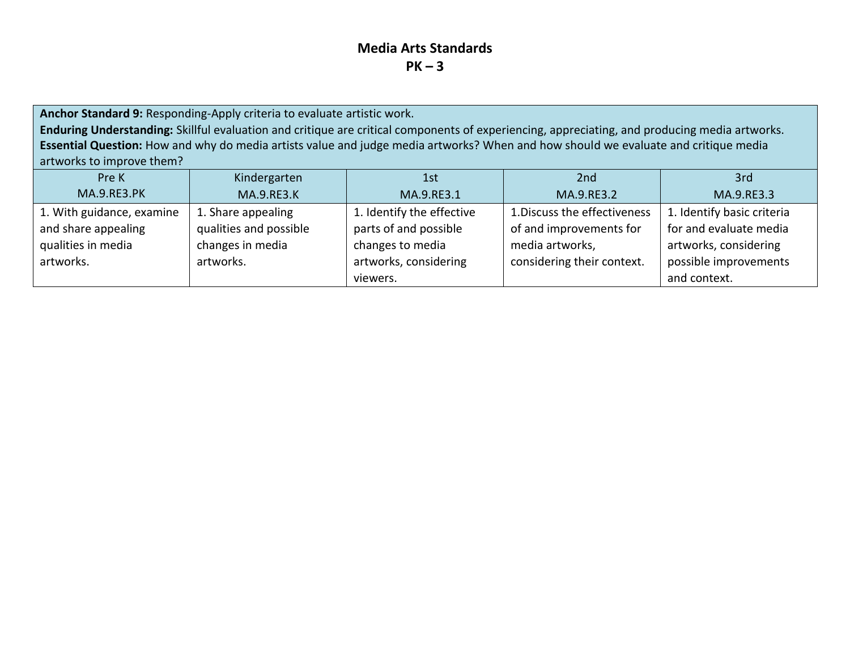**Anchor Standard 9:** Responding-Apply criteria to evaluate artistic work. **Enduring Understanding:** Skillful evaluation and critique are critical components of experiencing, appreciating, and producing media artworks. **Essential Question:** How and why do media artists value and judge media artworks? When and how should we evaluate and critique media artworks to improve them?

| Pre K                     | Kindergarten           | 1st                       | 2nd                          | 3rd                        |
|---------------------------|------------------------|---------------------------|------------------------------|----------------------------|
| <b>MA.9.RE3.PK</b>        | <b>MA.9.RE3.K</b>      | MA.9.RE3.1                | MA.9.RE3.2                   | MA.9.RE3.3                 |
| 1. With guidance, examine | 1. Share appealing     | 1. Identify the effective | 1. Discuss the effectiveness | 1. Identify basic criteria |
| and share appealing       | qualities and possible | parts of and possible     | of and improvements for      | for and evaluate media     |
| qualities in media        | changes in media       | changes to media          | media artworks,              | artworks, considering      |
| artworks.                 | artworks.              | artworks, considering     | considering their context.   | possible improvements      |
|                           |                        | viewers.                  |                              | and context.               |